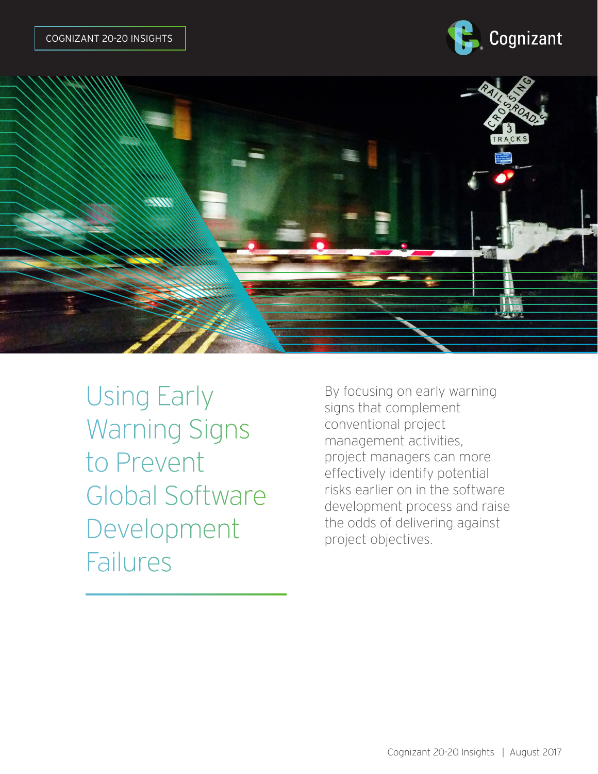



Using Early Warning Signs to Prevent Global Software Development Failures

By focusing on early warning signs that complement conventional project management activities, project managers can more effectively identify potential risks earlier on in the software development process and raise the odds of delivering against project objectives.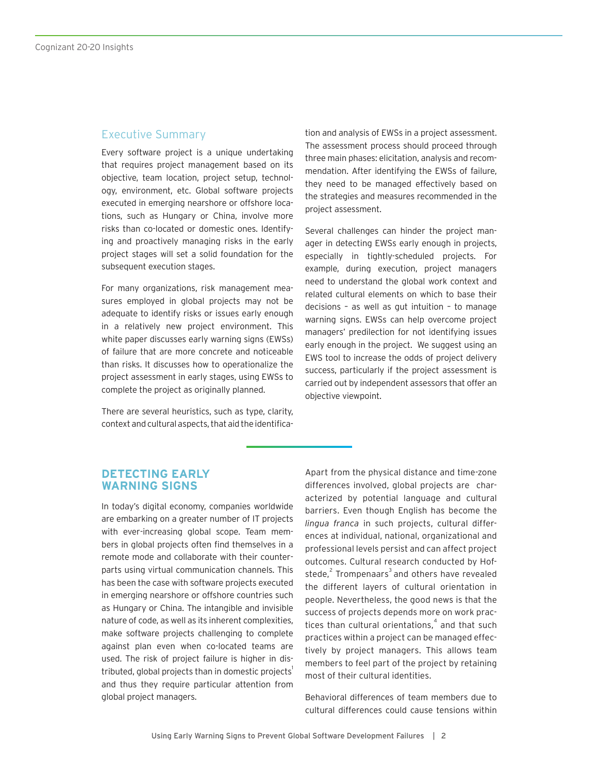### Executive Summary

Every software project is a unique undertaking that requires project management based on its objective, team location, project setup, technology, environment, etc. Global software projects executed in emerging nearshore or offshore locations, such as Hungary or China, involve more risks than co-located or domestic ones. Identifying and proactively managing risks in the early project stages will set a solid foundation for the subsequent execution stages.

For many organizations, risk management measures employed in global projects may not be adequate to identify risks or issues early enough in a relatively new project environment. This white paper discusses early warning signs (EWSs) of failure that are more concrete and noticeable than risks. It discusses how to operationalize the project assessment in early stages, using EWSs to complete the project as originally planned.

There are several heuristics, such as type, clarity, context and cultural aspects, that aid the identification and analysis of EWSs in a project assessment. The assessment process should proceed through three main phases: elicitation, analysis and recommendation. After identifying the EWSs of failure, they need to be managed effectively based on the strategies and measures recommended in the project assessment.

Several challenges can hinder the project manager in detecting EWSs early enough in projects, especially in tightly-scheduled projects. For example, during execution, project managers need to understand the global work context and related cultural elements on which to base their decisions – as well as gut intuition – to manage warning signs. EWSs can help overcome project managers' predilection for not identifying issues early enough in the project. We suggest using an EWS tool to increase the odds of project delivery success, particularly if the project assessment is carried out by independent assessors that offer an objective viewpoint.

## **DETECTING EARLY WARNING SIGNS**

In today's digital economy, companies worldwide are embarking on a greater number of IT projects with ever-increasing global scope. Team members in global projects often find themselves in a remote mode and collaborate with their counterparts using virtual communication channels. This has been the case with software projects executed in emerging nearshore or offshore countries such as Hungary or China. The intangible and invisible nature of code, as well as its inherent complexities, make software projects challenging to complete against plan even when co-located teams are used. The risk of project failure is higher in distributed, global projects than in domestic projects<sup>1</sup> and thus they require particular attention from global project managers.

Apart from the physical distance and time-zone differences involved, global projects are characterized by potential language and cultural barriers. Even though English has become the *lingua franca* in such projects, cultural differences at individual, national, organizational and professional levels persist and can affect project outcomes. Cultural research conducted by Hofstede, $^2$  Trompenaars $^3$  and others have revealed the different layers of cultural orientation in people. Nevertheless, the good news is that the success of projects depends more on work practices than cultural orientations, $\sp4$  and that such practices within a project can be managed effectively by project managers. This allows team members to feel part of the project by retaining most of their cultural identities.

Behavioral differences of team members due to cultural differences could cause tensions within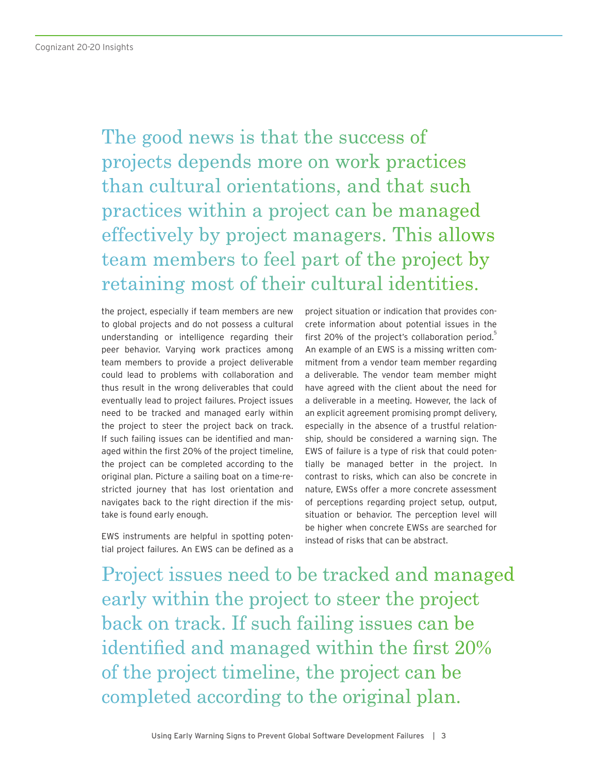The good news is that the success of projects depends more on work practices than cultural orientations, and that such practices within a project can be managed effectively by project managers. This allows team members to feel part of the project by retaining most of their cultural identities.

the project, especially if team members are new to global projects and do not possess a cultural understanding or intelligence regarding their peer behavior. Varying work practices among team members to provide a project deliverable could lead to problems with collaboration and thus result in the wrong deliverables that could eventually lead to project failures. Project issues need to be tracked and managed early within the project to steer the project back on track. If such failing issues can be identified and managed within the first 20% of the project timeline, the project can be completed according to the original plan. Picture a sailing boat on a time-restricted journey that has lost orientation and navigates back to the right direction if the mistake is found early enough.

EWS instruments are helpful in spotting potential project failures. An EWS can be defined as a

project situation or indication that provides concrete information about potential issues in the first 20% of the project's collaboration period. $\overline{5}$ An example of an EWS is a missing written commitment from a vendor team member regarding a deliverable. The vendor team member might have agreed with the client about the need for a deliverable in a meeting. However, the lack of an explicit agreement promising prompt delivery, especially in the absence of a trustful relationship, should be considered a warning sign. The EWS of failure is a type of risk that could potentially be managed better in the project. In contrast to risks, which can also be concrete in nature, EWSs offer a more concrete assessment of perceptions regarding project setup, output, situation or behavior. The perception level will be higher when concrete EWSs are searched for instead of risks that can be abstract.

Project issues need to be tracked and managed early within the project to steer the project back on track. If such failing issues can be identified and managed within the first 20% of the project timeline, the project can be completed according to the original plan.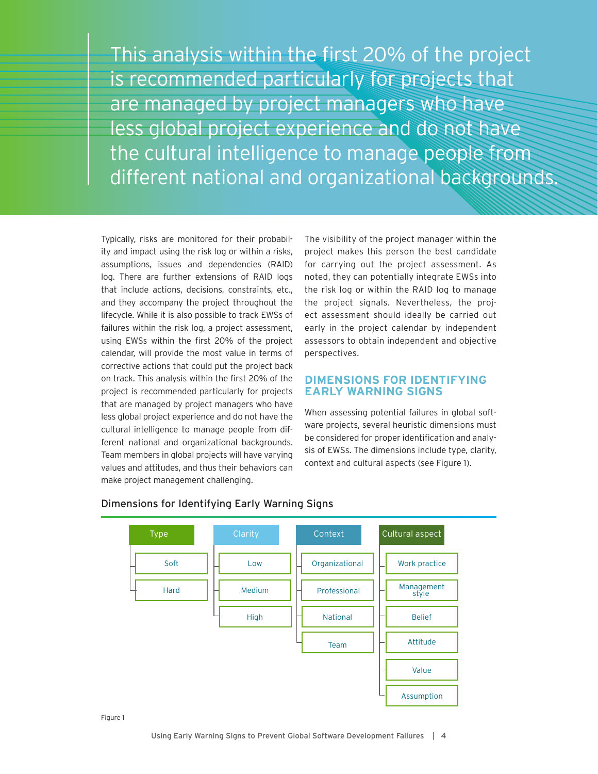This analysis within the first 20% of the project is recommended particularly for projects that are managed by project managers who have less global project experience and do not have the cultural intelligence to manage people from different national and organizational backgrounds.

Typically, risks are monitored for their probability and impact using the risk log or within a risks, assumptions, issues and dependencies (RAID) log. There are further extensions of RAID logs that include actions, decisions, constraints, etc., and they accompany the project throughout the lifecycle. While it is also possible to track EWSs of failures within the risk log, a project assessment, using EWSs within the first 20% of the project calendar, will provide the most value in terms of corrective actions that could put the project back on track. This analysis within the first 20% of the project is recommended particularly for projects that are managed by project managers who have less global project experience and do not have the cultural intelligence to manage people from different national and organizational backgrounds. Team members in global projects will have varying values and attitudes, and thus their behaviors can make project management challenging.

The visibility of the project manager within the project makes this person the best candidate for carrying out the project assessment. As noted, they can potentially integrate EWSs into the risk log or within the RAID log to manage the project signals. Nevertheless, the project assessment should ideally be carried out early in the project calendar by independent assessors to obtain independent and objective perspectives.

### **DIMENSIONS FOR IDENTIFYING EARLY WARNING SIGNS**

When assessing potential failures in global software projects, several heuristic dimensions must be considered for proper identification and analysis of EWSs. The dimensions include type, clarity, context and cultural aspects (see Figure 1).



#### Dimensions for Identifying Early Warning Signs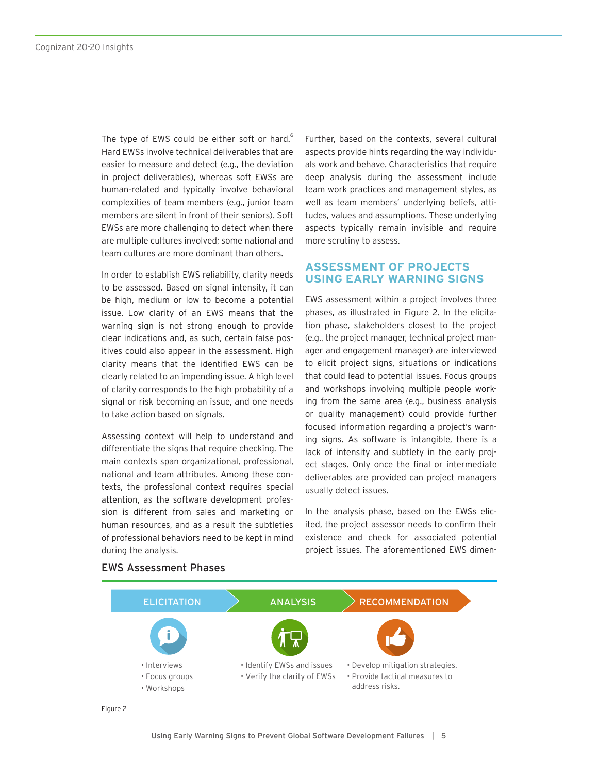The type of EWS could be either soft or hard.<sup>6</sup> Hard EWSs involve technical deliverables that are easier to measure and detect (e.g., the deviation in project deliverables), whereas soft EWSs are human-related and typically involve behavioral complexities of team members (e.g., junior team members are silent in front of their seniors). Soft EWSs are more challenging to detect when there are multiple cultures involved; some national and team cultures are more dominant than others.

In order to establish EWS reliability, clarity needs to be assessed. Based on signal intensity, it can be high, medium or low to become a potential issue. Low clarity of an EWS means that the warning sign is not strong enough to provide clear indications and, as such, certain false positives could also appear in the assessment. High clarity means that the identified EWS can be clearly related to an impending issue. A high level of clarity corresponds to the high probability of a signal or risk becoming an issue, and one needs to take action based on signals.

Assessing context will help to understand and differentiate the signs that require checking. The main contexts span organizational, professional, national and team attributes. Among these contexts, the professional context requires special attention, as the software development profession is different from sales and marketing or human resources, and as a result the subtleties of professional behaviors need to be kept in mind during the analysis.

Further, based on the contexts, several cultural aspects provide hints regarding the way individuals work and behave. Characteristics that require deep analysis during the assessment include team work practices and management styles, as well as team members' underlying beliefs, attitudes, values and assumptions. These underlying aspects typically remain invisible and require more scrutiny to assess.

## **ASSESSMENT OF PROJECTS USING EARLY WARNING SIGNS**

EWS assessment within a project involves three phases, as illustrated in Figure 2. In the elicitation phase, stakeholders closest to the project (e.g., the project manager, technical project manager and engagement manager) are interviewed to elicit project signs, situations or indications that could lead to potential issues. Focus groups and workshops involving multiple people working from the same area (e.g., business analysis or quality management) could provide further focused information regarding a project's warning signs. As software is intangible, there is a lack of intensity and subtlety in the early project stages. Only once the final or intermediate deliverables are provided can project managers usually detect issues.

In the analysis phase, based on the EWSs elicited, the project assessor needs to confirm their existence and check for associated potential project issues. The aforementioned EWS dimen-



#### EWS Assessment Phases

Figure 2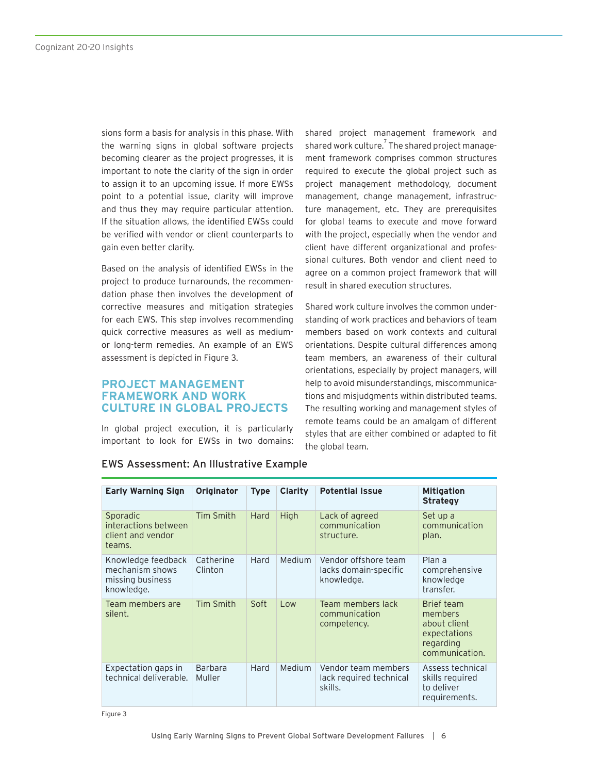sions form a basis for analysis in this phase. With the warning signs in global software projects becoming clearer as the project progresses, it is important to note the clarity of the sign in order to assign it to an upcoming issue. If more EWSs point to a potential issue, clarity will improve and thus they may require particular attention. If the situation allows, the identified EWSs could be verified with vendor or client counterparts to gain even better clarity.

Based on the analysis of identified EWSs in the project to produce turnarounds, the recommendation phase then involves the development of corrective measures and mitigation strategies for each EWS. This step involves recommending quick corrective measures as well as mediumor long-term remedies. An example of an EWS assessment is depicted in Figure 3.

#### **PROJECT MANAGEMENT FRAMEWORK AND WORK CULTURE IN GLOBAL PROJECTS**

In global project execution, it is particularly important to look for EWSs in two domains: shared project management framework and shared work culture. $^7$  The shared project management framework comprises common structures required to execute the global project such as project management methodology, document management, change management, infrastructure management, etc. They are prerequisites for global teams to execute and move forward with the project, especially when the vendor and client have different organizational and professional cultures. Both vendor and client need to agree on a common project framework that will result in shared execution structures.

Shared work culture involves the common understanding of work practices and behaviors of team members based on work contexts and cultural orientations. Despite cultural differences among team members, an awareness of their cultural orientations, especially by project managers, will help to avoid misunderstandings, miscommunications and misjudgments within distributed teams. The resulting working and management styles of remote teams could be an amalgam of different styles that are either combined or adapted to fit the global team.

| <b>Early Warning Sign</b>                                               | <b>Originator</b>        | <b>Type</b> | Clarity       | <b>Potential Issue</b>                                      | <b>Mitigation</b><br><b>Strategy</b>                                                 |
|-------------------------------------------------------------------------|--------------------------|-------------|---------------|-------------------------------------------------------------|--------------------------------------------------------------------------------------|
| Sporadic<br>interactions between<br>client and vendor<br>teams.         | Tim Smith                | Hard        | <b>High</b>   | Lack of agreed<br>communication<br>structure.               | Set up a<br>communication<br>plan.                                                   |
| Knowledge feedback<br>mechanism shows<br>missing business<br>knowledge. | Catherine<br>Clinton     | Hard        | <b>Medium</b> | Vendor offshore team<br>lacks domain-specific<br>knowledge. | Plan a<br>comprehensive<br>knowledge<br>transfer.                                    |
| Team members are<br>silent.                                             | Tim Smith                | Soft        | Low           | Team members lack<br>communication<br>competency.           | Brief team<br>members<br>about client<br>expectations<br>regarding<br>communication. |
| Expectation gaps in<br>technical deliverable.                           | <b>Barbara</b><br>Muller | Hard        | Medium        | Vendor team members<br>lack required technical<br>skills.   | Assess technical<br>skills required<br>to deliver<br>requirements.                   |

#### EWS Assessment: An Illustrative Example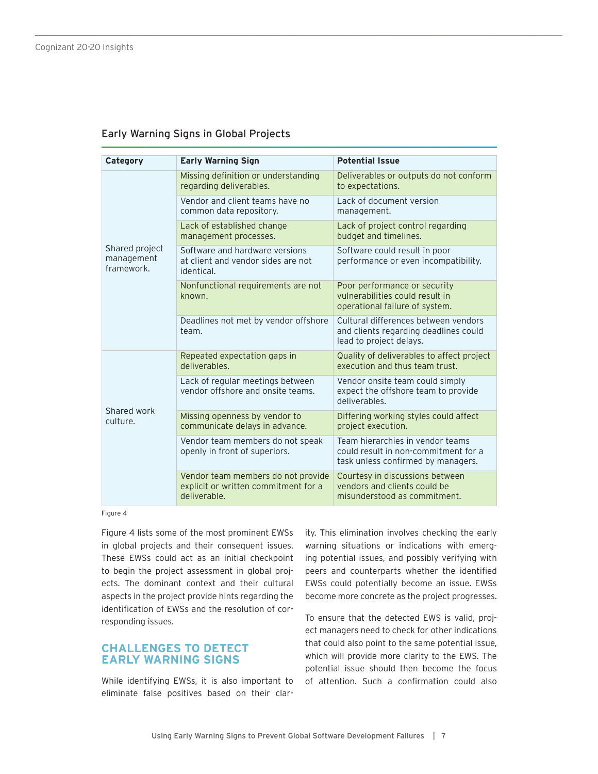## Early Warning Signs in Global Projects

| Category                                   | <b>Early Warning Sign</b>                                                                  | <b>Potential Issue</b>                                                                                         |  |
|--------------------------------------------|--------------------------------------------------------------------------------------------|----------------------------------------------------------------------------------------------------------------|--|
| Shared project<br>management<br>framework. | Missing definition or understanding<br>regarding deliverables.                             | Deliverables or outputs do not conform<br>to expectations.                                                     |  |
|                                            | Vendor and client teams have no<br>common data repository.                                 | Lack of document version<br>management.                                                                        |  |
|                                            | Lack of established change<br>management processes.                                        | Lack of project control regarding<br>budget and timelines.                                                     |  |
|                                            | Software and hardware versions<br>at client and vendor sides are not<br>identical.         | Software could result in poor<br>performance or even incompatibility.                                          |  |
|                                            | Nonfunctional requirements are not<br>known.                                               | Poor performance or security<br>vulnerabilities could result in<br>operational failure of system.              |  |
|                                            | Deadlines not met by vendor offshore<br>team.                                              | Cultural differences between vendors<br>and clients regarding deadlines could<br>lead to project delays.       |  |
| Shared work<br>culture.                    | Repeated expectation gaps in<br>deliverables.                                              | Quality of deliverables to affect project<br>execution and thus team trust.                                    |  |
|                                            | Lack of regular meetings between<br>vendor offshore and onsite teams.                      | Vendor onsite team could simply<br>expect the offshore team to provide<br>deliverables.                        |  |
|                                            | Missing openness by vendor to<br>communicate delays in advance.                            | Differing working styles could affect<br>project execution.                                                    |  |
|                                            | Vendor team members do not speak<br>openly in front of superiors.                          | Team hierarchies in vendor teams<br>could result in non-commitment for a<br>task unless confirmed by managers. |  |
|                                            | Vendor team members do not provide<br>explicit or written commitment for a<br>deliverable. | Courtesy in discussions between<br>vendors and clients could be<br>misunderstood as commitment.                |  |

Figure 4

Figure 4 lists some of the most prominent EWSs in global projects and their consequent issues. These EWSs could act as an initial checkpoint to begin the project assessment in global projects. The dominant context and their cultural aspects in the project provide hints regarding the identification of EWSs and the resolution of corresponding issues.

## **CHALLENGES TO DETECT EARLY WARNING SIGNS**

While identifying EWSs, it is also important to eliminate false positives based on their clarity. This elimination involves checking the early warning situations or indications with emerging potential issues, and possibly verifying with peers and counterparts whether the identified EWSs could potentially become an issue. EWSs become more concrete as the project progresses.

To ensure that the detected EWS is valid, project managers need to check for other indications that could also point to the same potential issue, which will provide more clarity to the EWS. The potential issue should then become the focus of attention. Such a confirmation could also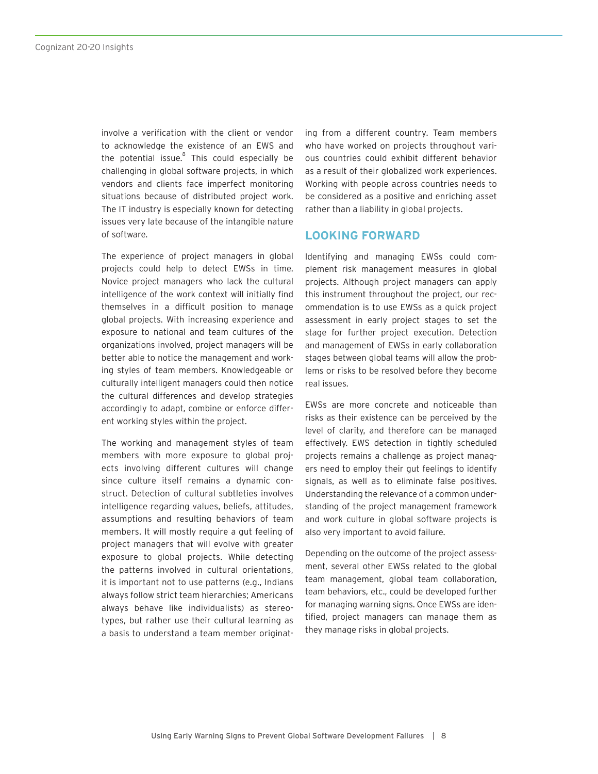involve a verification with the client or vendor to acknowledge the existence of an EWS and the potential issue.<sup>8</sup> This could especially be challenging in global software projects, in which vendors and clients face imperfect monitoring situations because of distributed project work. The IT industry is especially known for detecting issues very late because of the intangible nature of software.

The experience of project managers in global projects could help to detect EWSs in time. Novice project managers who lack the cultural intelligence of the work context will initially find themselves in a difficult position to manage global projects. With increasing experience and exposure to national and team cultures of the organizations involved, project managers will be better able to notice the management and working styles of team members. Knowledgeable or culturally intelligent managers could then notice the cultural differences and develop strategies accordingly to adapt, combine or enforce different working styles within the project.

The working and management styles of team members with more exposure to global projects involving different cultures will change since culture itself remains a dynamic construct. Detection of cultural subtleties involves intelligence regarding values, beliefs, attitudes, assumptions and resulting behaviors of team members. It will mostly require a gut feeling of project managers that will evolve with greater exposure to global projects. While detecting the patterns involved in cultural orientations, it is important not to use patterns (e.g., Indians always follow strict team hierarchies; Americans always behave like individualists) as stereotypes, but rather use their cultural learning as a basis to understand a team member originating from a different country. Team members who have worked on projects throughout various countries could exhibit different behavior as a result of their globalized work experiences. Working with people across countries needs to be considered as a positive and enriching asset rather than a liability in global projects.

#### **LOOKING FORWARD**

Identifying and managing EWSs could complement risk management measures in global projects. Although project managers can apply this instrument throughout the project, our recommendation is to use EWSs as a quick project assessment in early project stages to set the stage for further project execution. Detection and management of EWSs in early collaboration stages between global teams will allow the problems or risks to be resolved before they become real issues.

EWSs are more concrete and noticeable than risks as their existence can be perceived by the level of clarity, and therefore can be managed effectively. EWS detection in tightly scheduled projects remains a challenge as project managers need to employ their gut feelings to identify signals, as well as to eliminate false positives. Understanding the relevance of a common understanding of the project management framework and work culture in global software projects is also very important to avoid failure.

Depending on the outcome of the project assessment, several other EWSs related to the global team management, global team collaboration, team behaviors, etc., could be developed further for managing warning signs. Once EWSs are identified, project managers can manage them as they manage risks in global projects.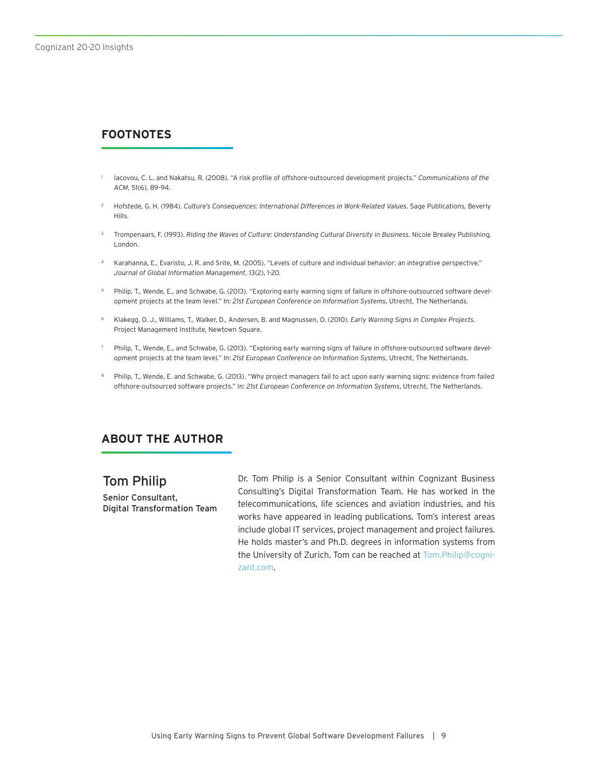# **FOOTNOTES**

- <sup>1</sup> Iacovou, C. L. and Nakatsu, R. (2008). "A risk profile of offshore-outsourced development projects." *Communications of the ACM*, 51(6), 89-94.
- <sup>2</sup> Hofstede, G. H. (1984). *Culture's Consequences: International Differences in Work-Related Values*. Sage Publications, Beverly Hills.
- <sup>3</sup> Trompenaars, F. (1993). *Riding the Waves of Culture: Understanding Cultural Diversity in Business*. Nicole Brealey Publishing, London.
- <sup>4</sup> Karahanna, E., Evaristo, J. R. and Srite, M. (2005). "Levels of culture and individual behavior: an integrative perspective." *Journal of Global Information Management*, 13(2), 1-20.
- <sup>5</sup> Philip, T., Wende, E., and Schwabe, G. (2013). "Exploring early warning signs of failure in offshore-outsourced software development projects at the team level." In: *21st European Conference on Information Systems*, Utrecht, The Netherlands.
- <sup>6</sup> Klakegg, O. J., Williams, T., Walker, D., Andersen, B. and Magnussen, O. (2010). *Early Warning Signs in Complex Projects*. Project Management Institute, Newtown Square.
- <sup>7</sup> Philip, T., Wende, E., and Schwabe, G. (2013). "Exploring early warning signs of failure in offshore-outsourced software development projects at the team level." In: *21st European Conference on Information Systems*, Utrecht, The Netherlands.
- 8 Philip, T., Wende, E. and Schwabe, G. (2013). "Why project managers fail to act upon early warning signs: evidence from failed offshore-outsourced software projects." In: *21st European Conference on Information Systems*, Utrecht, The Netherlands.

# **ABOUT THE AUTHOR**

Tom Philip Senior Consultant, Digital Transformation Team Dr. Tom Philip is a Senior Consultant within Cognizant Business Consulting's Digital Transformation Team. He has worked in the telecommunications, life sciences and aviation industries, and his works have appeared in leading publications. Tom's interest areas include global IT services, project management and project failures. He holds master's and Ph.D. degrees in information systems from the University of Zurich. Tom can be reached at [Tom.Philip@cogni](mailto:Tom.Philip%40cognizant.com?subject=)[zant.com](mailto:Tom.Philip%40cognizant.com?subject=).